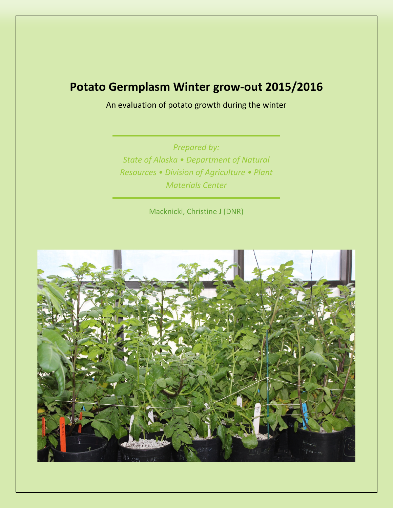# **Potato Germplasm Winter grow-out 2015/2016**

An evaluation of potato growth during the winter

*Prepared by: State of Alaska • Department of Natural Resources • Division of Agriculture • Plant Materials Center*

Macknicki, Christine J (DNR)

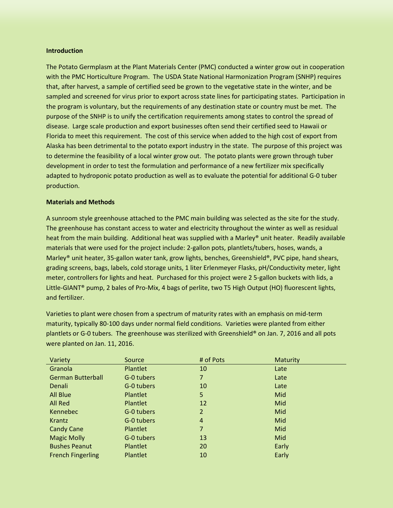### **Introduction**

The Potato Germplasm at the Plant Materials Center (PMC) conducted a winter grow out in cooperation with the PMC Horticulture Program. The USDA State National Harmonization Program (SNHP) requires that, after harvest, a sample of certified seed be grown to the vegetative state in the winter, and be sampled and screened for virus prior to export across state lines for participating states. Participation in the program is voluntary, but the requirements of any destination state or country must be met. The purpose of the SNHP is to unify the certification requirements among states to control the spread of disease. Large scale production and export businesses often send their certified seed to Hawaii or Florida to meet this requirement. The cost of this service when added to the high cost of export from Alaska has been detrimental to the potato export industry in the state. The purpose of this project was to determine the feasibility of a local winter grow out. The potato plants were grown through tuber development in order to test the formulation and performance of a new fertilizer mix specifically adapted to hydroponic potato production as well as to evaluate the potential for additional G-0 tuber production.

### **Materials and Methods**

A sunroom style greenhouse attached to the PMC main building was selected as the site for the study. The greenhouse has constant access to water and electricity throughout the winter as well as residual heat from the main building. Additional heat was supplied with a Marley® unit heater. Readily available materials that were used for the project include: 2-gallon pots, plantlets/tubers, hoses, wands, a Marley® unit heater, 35-gallon water tank, grow lights, benches, Greenshield®, PVC pipe, hand shears, grading screens, bags, labels, cold storage units, 1 liter Erlenmeyer Flasks, pH/Conductivity meter, light meter, controllers for lights and heat. Purchased for this project were 2 5-gallon buckets with lids, a Little-GIANT® pump, 2 bales of Pro-Mix, 4 bags of perlite, two T5 High Output (HO) fluorescent lights, and fertilizer.

Varieties to plant were chosen from a spectrum of maturity rates with an emphasis on mid-term maturity, typically 80-100 days under normal field conditions. Varieties were planted from either plantlets or G-0 tubers. The greenhouse was sterilized with Greenshield® on Jan. 7, 2016 and all pots were planted on Jan. 11, 2016.

| Variety                  | Source          | # of Pots      | <b>Maturity</b> |
|--------------------------|-----------------|----------------|-----------------|
| Granola                  | Plantlet        | 10             | Late            |
| <b>German Butterball</b> | G-0 tubers      | 7              | Late            |
| Denali                   | G-0 tubers      | 10             | Late            |
| All Blue                 | Plantlet        | 5              | Mid             |
| All Red                  | <b>Plantlet</b> | 12             | Mid             |
| Kennebec                 | G-0 tubers      | 2              | Mid             |
| Krantz                   | G-0 tubers      | $\overline{4}$ | Mid             |
| <b>Candy Cane</b>        | <b>Plantlet</b> | 7              | Mid             |
| <b>Magic Molly</b>       | G-0 tubers      | 13             | Mid             |
| <b>Bushes Peanut</b>     | <b>Plantlet</b> | 20             | Early           |
| <b>French Fingerling</b> | <b>Plantlet</b> | 10             | Early           |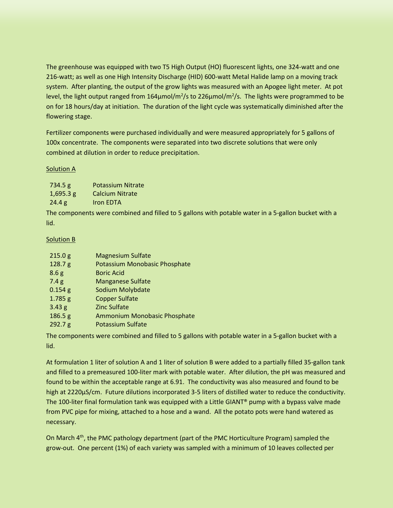The greenhouse was equipped with two T5 High Output (HO) fluorescent lights, one 324-watt and one 216-watt; as well as one High Intensity Discharge (HID) 600-watt Metal Halide lamp on a moving track system. After planting, the output of the grow lights was measured with an Apogee light meter. At pot level, the light output ranged from  $164 \mu$ mol/m<sup>2</sup>/s to 226 $\mu$ mol/m<sup>2</sup>/s. The lights were programmed to be on for 18 hours/day at initiation. The duration of the light cycle was systematically diminished after the flowering stage.

Fertilizer components were purchased individually and were measured appropriately for 5 gallons of 100x concentrate. The components were separated into two discrete solutions that were only combined at dilution in order to reduce precipitation.

# Solution A

| 734.5 g     | <b>Potassium Nitrate</b> |
|-------------|--------------------------|
| $1,695.3$ g | <b>Calcium Nitrate</b>   |
| 24.4 g      | Iron EDTA                |

The components were combined and filled to 5 gallons with potable water in a 5-gallon bucket with a lid.

# Solution B

| 215.0 g           | <b>Magnesium Sulfate</b>      |
|-------------------|-------------------------------|
| 128.7 g           | Potassium Monobasic Phosphate |
| 8.6 <sub>g</sub>  | <b>Boric Acid</b>             |
| 7.4g              | <b>Manganese Sulfate</b>      |
| $0.154$ g         | Sodium Molybdate              |
| 1.785 g           | <b>Copper Sulfate</b>         |
| 3.43 <sub>g</sub> | <b>Zinc Sulfate</b>           |
| 186.5 g           | Ammonium Monobasic Phosphate  |
| 292.7 g           | <b>Potassium Sulfate</b>      |

The components were combined and filled to 5 gallons with potable water in a 5-gallon bucket with a lid.

At formulation 1 liter of solution A and 1 liter of solution B were added to a partially filled 35-gallon tank and filled to a premeasured 100-liter mark with potable water. After dilution, the pH was measured and found to be within the acceptable range at 6.91. The conductivity was also measured and found to be high at 2220µS/cm. Future dilutions incorporated 3-5 liters of distilled water to reduce the conductivity. The 100-liter final formulation tank was equipped with a Little GIANT® pump with a bypass valve made from PVC pipe for mixing, attached to a hose and a wand. All the potato pots were hand watered as necessary.

On March 4th, the PMC pathology department (part of the PMC Horticulture Program) sampled the grow-out. One percent (1%) of each variety was sampled with a minimum of 10 leaves collected per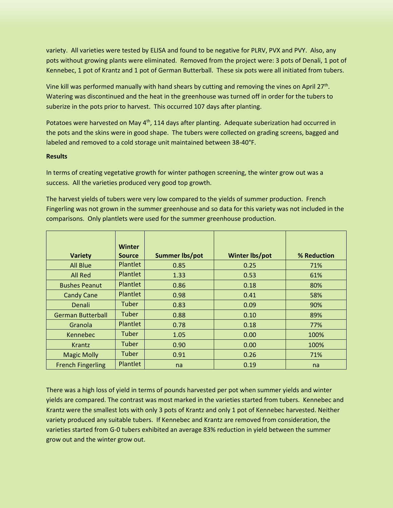variety. All varieties were tested by ELISA and found to be negative for PLRV, PVX and PVY. Also, any pots without growing plants were eliminated. Removed from the project were: 3 pots of Denali, 1 pot of Kennebec, 1 pot of Krantz and 1 pot of German Butterball. These six pots were all initiated from tubers.

Vine kill was performed manually with hand shears by cutting and removing the vines on April 27th. Watering was discontinued and the heat in the greenhouse was turned off in order for the tubers to suberize in the pots prior to harvest. This occurred 107 days after planting.

Potatoes were harvested on May 4<sup>th</sup>, 114 days after planting. Adequate suberization had occurred in the pots and the skins were in good shape. The tubers were collected on grading screens, bagged and labeled and removed to a cold storage unit maintained between 38-40°F.

## **Results**

In terms of creating vegetative growth for winter pathogen screening, the winter grow out was a success. All the varieties produced very good top growth.

The harvest yields of tubers were very low compared to the yields of summer production. French Fingerling was not grown in the summer greenhouse and so data for this variety was not included in the comparisons. Only plantlets were used for the summer greenhouse production.

| <b>Variety</b>           | <b>Winter</b><br><b>Source</b> | <b>Summer lbs/pot</b> | <b>Winter lbs/pot</b> | % Reduction |
|--------------------------|--------------------------------|-----------------------|-----------------------|-------------|
| <b>All Blue</b>          | Plantlet                       | 0.85                  | 0.25                  | 71%         |
| <b>All Red</b>           | <b>Plantlet</b>                | 1.33                  | 0.53                  | 61%         |
| <b>Bushes Peanut</b>     | Plantlet                       | 0.86                  | 0.18                  | 80%         |
| <b>Candy Cane</b>        | Plantlet                       | 0.98                  | 0.41                  | 58%         |
| Denali                   | Tuber                          | 0.83                  | 0.09                  | 90%         |
| <b>German Butterball</b> | Tuber                          | 0.88                  | 0.10                  | 89%         |
| Granola                  | Plantlet                       | 0.78                  | 0.18                  | 77%         |
| Kennebec                 | Tuber                          | 1.05                  | 0.00                  | 100%        |
| <b>Krantz</b>            | Tuber                          | 0.90                  | 0.00                  | 100%        |
| <b>Magic Molly</b>       | Tuber                          | 0.91                  | 0.26                  | 71%         |
| <b>French Fingerling</b> | <b>Plantlet</b>                | na                    | 0.19                  | na          |

There was a high loss of yield in terms of pounds harvested per pot when summer yields and winter yields are compared. The contrast was most marked in the varieties started from tubers. Kennebec and Krantz were the smallest lots with only 3 pots of Krantz and only 1 pot of Kennebec harvested. Neither variety produced any suitable tubers. If Kennebec and Krantz are removed from consideration, the varieties started from G-0 tubers exhibited an average 83% reduction in yield between the summer grow out and the winter grow out.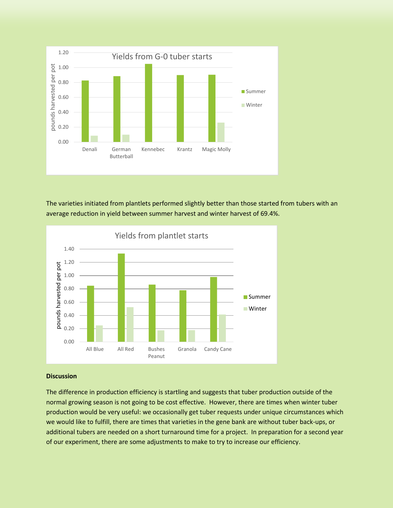

The varieties initiated from plantlets performed slightly better than those started from tubers with an average reduction in yield between summer harvest and winter harvest of 69.4%.



#### **Discussion**

The difference in production efficiency is startling and suggests that tuber production outside of the normal growing season is not going to be cost effective. However, there are times when winter tuber production would be very useful: we occasionally get tuber requests under unique circumstances which we would like to fulfill, there are times that varieties in the gene bank are without tuber back-ups, or additional tubers are needed on a short turnaround time for a project. In preparation for a second year of our experiment, there are some adjustments to make to try to increase our efficiency.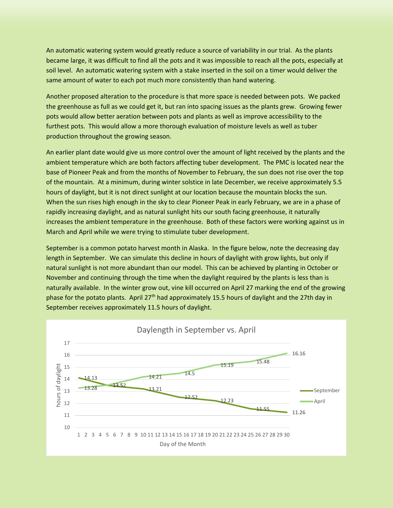An automatic watering system would greatly reduce a source of variability in our trial. As the plants became large, it was difficult to find all the pots and it was impossible to reach all the pots, especially at soil level. An automatic watering system with a stake inserted in the soil on a timer would deliver the same amount of water to each pot much more consistently than hand watering.

Another proposed alteration to the procedure is that more space is needed between pots. We packed the greenhouse as full as we could get it, but ran into spacing issues as the plants grew. Growing fewer pots would allow better aeration between pots and plants as well as improve accessibility to the furthest pots. This would allow a more thorough evaluation of moisture levels as well as tuber production throughout the growing season.

An earlier plant date would give us more control over the amount of light received by the plants and the ambient temperature which are both factors affecting tuber development. The PMC is located near the base of Pioneer Peak and from the months of November to February, the sun does not rise over the top of the mountain. At a minimum, during winter solstice in late December, we receive approximately 5.5 hours of daylight, but it is not direct sunlight at our location because the mountain blocks the sun. When the sun rises high enough in the sky to clear Pioneer Peak in early February, we are in a phase of rapidly increasing daylight, and as natural sunlight hits our south facing greenhouse, it naturally increases the ambient temperature in the greenhouse. Both of these factors were working against us in March and April while we were trying to stimulate tuber development.

September is a common potato harvest month in Alaska. In the figure below, note the decreasing day length in September. We can simulate this decline in hours of daylight with grow lights, but only if natural sunlight is not more abundant than our model. This can be achieved by planting in October or November and continuing through the time when the daylight required by the plants is less than is naturally available. In the winter grow out, vine kill occurred on April 27 marking the end of the growing phase for the potato plants. April 27th had approximately 15.5 hours of daylight and the 27th day in September receives approximately 11.5 hours of daylight.